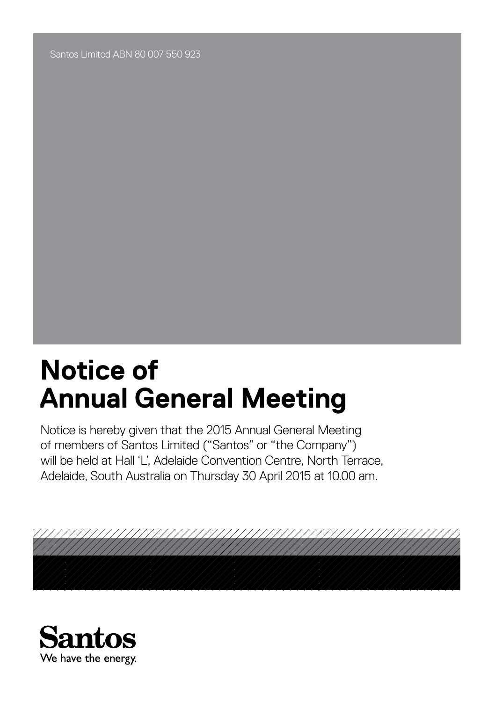Santos Limited ABN 80 007 550 923

# **Notice of Annual General Meeting**

Notice is hereby given that the 2015 Annual General Meeting of members of Santos Limited ("Santos" or "the Company") will be held at Hall 'L', Adelaide Convention Centre, North Terrace, Adelaide, South Australia on Thursday 30 April 2015 at 10.00 am.



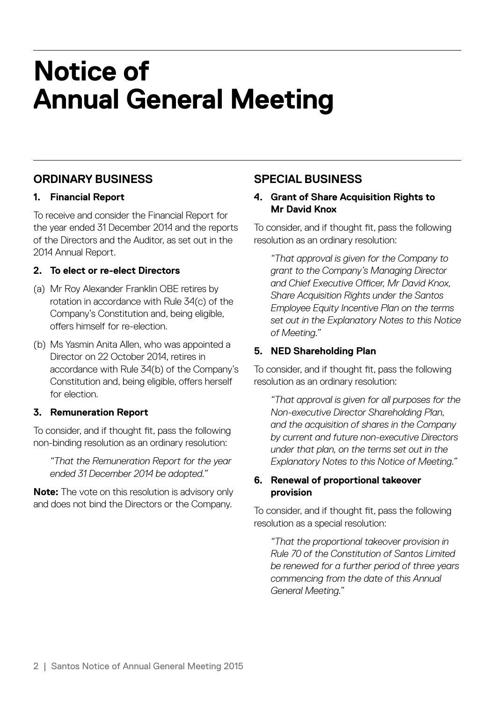### **ORDINARY BUSINESS**

#### **1. Financial Report**

To receive and consider the Financial Report for the year ended 31 December 2014 and the reports of the Directors and the Auditor, as set out in the 2014 Annual Report.

#### **2. To elect or re-elect Directors**

- (a) Mr Roy Alexander Franklin OBE retires by rotation in accordance with Rule 34(c) of the Company's Constitution and, being eligible, offers himself for re-election.
- (b) Ms Yasmin Anita Allen, who was appointed a Director on 22 October 2014, retires in accordance with Rule 34(b) of the Company's Constitution and, being eligible, offers herself for election.

#### **3. Remuneration Report**

To consider, and if thought fit, pass the following non-binding resolution as an ordinary resolution:

 *"That the Remuneration Report for the year ended 31 December 2014 be adopted."*

**Note:** The vote on this resolution is advisory only and does not bind the Directors or the Company.

### **SPECIAL BUSINESS**

#### **4. Grant of Share Acquisition Rights to Mr David Knox**

To consider, and if thought fit, pass the following resolution as an ordinary resolution:

 *"That approval is given for the Company to grant to the Company's Managing Director and Chief Executive Officer, Mr David Knox, Share Acquisition Rights under the Santos Employee Equity Incentive Plan on the terms set out in the Explanatory Notes to this Notice of Meeting."*

#### **5. NED Shareholding Plan**

To consider, and if thought fit, pass the following resolution as an ordinary resolution:

 *"That approval is given for all purposes for the Non-executive Director Shareholding Plan, and the acquisition of shares in the Company by current and future non-executive Directors under that plan, on the terms set out in the Explanatory Notes to this Notice of Meeting."*

#### **6. Renewal of proportional takeover provision**

To consider, and if thought fit, pass the following resolution as a special resolution:

 *"That the proportional takeover provision in Rule 70 of the Constitution of Santos Limited be renewed for a further period of three years commencing from the date of this Annual General Meeting."*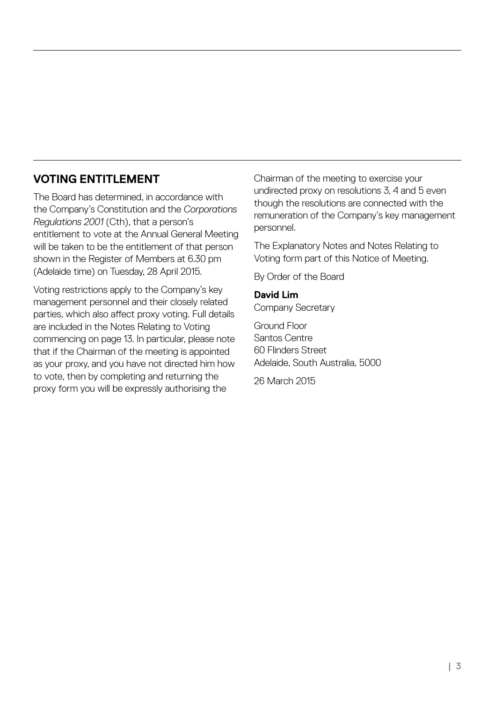### **VOTING ENTITLEMENT**

The Board has determined, in accordance with the Company's Constitution and the *Corporations Regulations 2001* (Cth), that a person's entitlement to vote at the Annual General Meeting will be taken to be the entitlement of that person shown in the Register of Members at 6.30 pm (Adelaide time) on Tuesday, 28 April 2015.

Voting restrictions apply to the Company's key management personnel and their closely related parties, which also affect proxy voting. Full details are included in the Notes Relating to Voting commencing on page 13. In particular, please note that if the Chairman of the meeting is appointed as your proxy, and you have not directed him how to vote, then by completing and returning the proxy form you will be expressly authorising the

Chairman of the meeting to exercise your undirected proxy on resolutions 3, 4 and 5 even though the resolutions are connected with the remuneration of the Company's key management personnel.

The Explanatory Notes and Notes Relating to Voting form part of this Notice of Meeting.

By Order of the Board

#### **David Lim**

Company Secretary

Ground Floor Santos Centre 60 Flinders Street Adelaide, South Australia, 5000

26 March 2015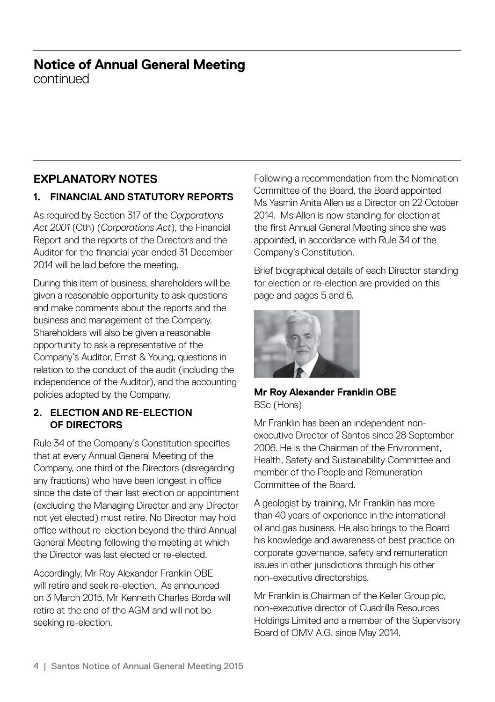#### **Notice of Annual General Meeting** continued

### **EXPLANATORY NOTES**

#### **1. FINANCIAL AND STATUTORY REPORTS**

As required by Section 317 of the *Corporations Act 2001* (Cth) (*Corporations Act*), the Financial Report and the reports of the Directors and the Auditor for the financial year ended 31 December 2014 will be laid before the meeting.

During this item of business, shareholders will be given a reasonable opportunity to ask questions and make comments about the reports and the business and management of the Company. Shareholders will also be given a reasonable opportunity to ask a representative of the Company's Auditor, Ernst & Young, questions in relation to the conduct of the audit (including the independence of the Auditor), and the accounting policies adopted by the Company.

#### **2. ELECTION AND RE-ELECTION OF DIRECTORS**

Rule 34 of the Company's Constitution specifies that at every Annual General Meeting of the Company, one third of the Directors (disregarding any fractions) who have been longest in office since the date of their last election or appointment (excluding the Managing Director and any Director not yet elected) must retire. No Director may hold office without re-election beyond the third Annual General Meeting following the meeting at which the Director was last elected or re-elected.

Accordingly, Mr Roy Alexander Franklin OBE will retire and seek re-election. As announced on 3 March 2015, Mr Kenneth Charles Borda will retire at the end of the AGM and will not be seeking re-election.

Following a recommendation from the Nomination Committee of the Board, the Board appointed Ms Yasmin Anita Allen as a Director on 22 October 2014. Ms Allen is now standing for election at the first Annual General Meeting since she was appointed, in accordance with Rule 34 of the Company's Constitution.

Brief biographical details of each Director standing for election or re-election are provided on this page and pages 5 and 6.



**Mr Roy Alexander Franklin OBE** BSc (Hons)

Mr Franklin has been an independent nonexecutive Director of Santos since 28 September 2006. He is the Chairman of the Environment Health, Safety and Sustainability Committee and member of the People and Remuneration Committee of the Board.

A geologist by training, Mr Franklin has more than 40 years of experience in the international oil and gas business. He also brings to the Board his knowledge and awareness of best practice on corporate governance, safety and remuneration issues in other jurisdictions through his other non-executive directorships.

Mr Franklin is Chairman of the Keller Group plc, non-executive director of Cuadrilla Resources Holdings Limited and a member of the Supervisory Board of OMV A.G. since May 2014.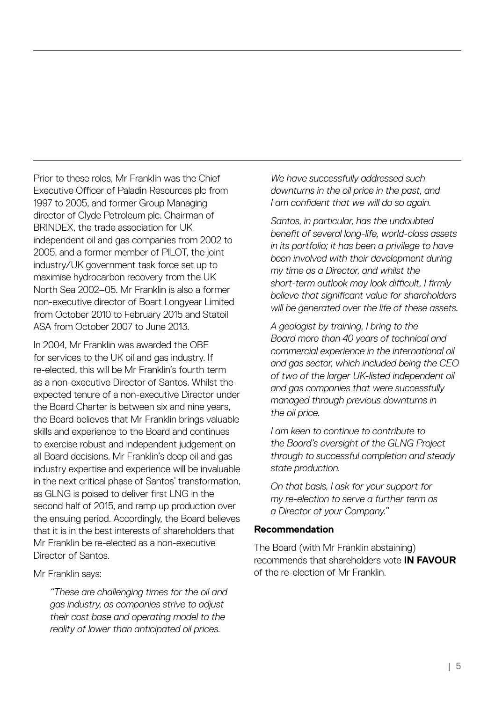Prior to these roles, Mr Franklin was the Chief Executive Officer of Paladin Resources plc from 1997 to 2005, and former Group Managing director of Clyde Petroleum plc. Chairman of BRINDEX, the trade association for UK independent oil and gas companies from 2002 to 2005, and a former member of PILOT, the joint industry/UK government task force set up to maximise hydrocarbon recovery from the UK North Sea 2002–05. Mr Franklin is also a former non-executive director of Boart Longyear Limited from October 2010 to February 2015 and Statoil ASA from October 2007 to June 2013.

In 2004, Mr Franklin was awarded the OBE for services to the UK oil and gas industry. If re-elected, this will be Mr Franklin's fourth term as a non-executive Director of Santos. Whilst the expected tenure of a non-executive Director under the Board Charter is between six and nine years, the Board believes that Mr Franklin brings valuable skills and experience to the Board and continues to exercise robust and independent judgement on all Board decisions. Mr Franklin's deep oil and gas industry expertise and experience will be invaluable in the next critical phase of Santos' transformation, as GLNG is poised to deliver first LNG in the second half of 2015, and ramp up production over the ensuing period. Accordingly, the Board believes that it is in the best interests of shareholders that Mr Franklin be re-elected as a non-executive Director of Santos.

Mr Franklin says:

 *"These are challenging times for the oil and gas industry, as companies strive to adjust their cost base and operating model to the reality of lower than anticipated oil prices.*

 *We have successfully addressed such downturns in the oil price in the past, and I am confident that we will do so again.*

 *Santos, in particular, has the undoubted benefit of several long-life, world-class assets in its portfolio; it has been a privilege to have been involved with their development during my time as a Director, and whilst the short-term outlook may look difficult, I firmly believe that significant value for shareholders will be generated over the life of these assets.* 

 *A geologist by training, I bring to the Board more than 40 years of technical and commercial experience in the international oil and gas sector, which included being the CEO of two of the larger UK-listed independent oil and gas companies that were successfully managed through previous downturns in the oil price.*

 *I am keen to continue to contribute to the Board's oversight of the GLNG Project through to successful completion and steady state production.* 

 *On that basis, I ask for your support for my re-election to serve a further term as a Director of your Company."*

#### **Recommendation**

The Board (with Mr Franklin abstaining) recommends that shareholders vote **IN FAVOUR** of the re-election of Mr Franklin.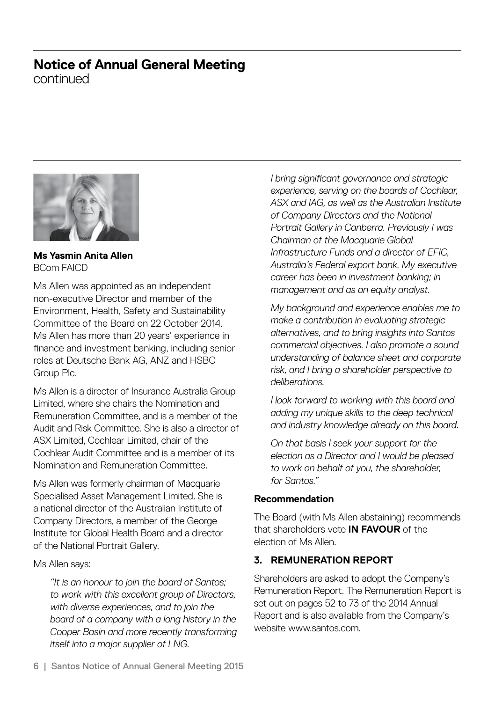continued



**Ms Yasmin Anita Allen**  BCom FAICD

Ms Allen was appointed as an independent non-executive Director and member of the Environment, Health, Safety and Sustainability Committee of the Board on 22 October 2014. Ms Allen has more than 20 years' experience in finance and investment banking, including senior roles at Deutsche Bank AG, ANZ and HSBC Group Plc.

Ms Allen is a director of Insurance Australia Group Limited, where she chairs the Nomination and Remuneration Committee, and is a member of the Audit and Risk Committee. She is also a director of ASX Limited, Cochlear Limited, chair of the Cochlear Audit Committee and is a member of its Nomination and Remuneration Committee.

Ms Allen was formerly chairman of Macquarie Specialised Asset Management Limited. She is a national director of the Australian Institute of Company Directors, a member of the George Institute for Global Health Board and a director of the National Portrait Gallery.

Ms Allen says:

 *"It is an honour to join the board of Santos; to work with this excellent group of Directors, with diverse experiences, and to join the board of a company with a long history in the Cooper Basin and more recently transforming itself into a major supplier of LNG.*

 *I bring significant governance and strategic experience, serving on the boards of Cochlear, ASX and IAG, as well as the Australian Institute of Company Directors and the National Portrait Gallery in Canberra. Previously I was Chairman of the Macquarie Global Infrastructure Funds and a director of EFIC, Australia's Federal export bank. My executive career has been in investment banking; in management and as an equity analyst.*

 *My background and experience enables me to make a contribution in evaluating strategic alternatives, and to bring insights into Santos commercial objectives. I also promote a sound understanding of balance sheet and corporate risk, and I bring a shareholder perspective to deliberations.*

 *I look forward to working with this board and adding my unique skills to the deep technical and industry knowledge already on this board.*

 *On that basis I seek your support for the election as a Director and I would be pleased to work on behalf of you, the shareholder, for Santos."*

#### **Recommendation**

The Board (with Ms Allen abstaining) recommends that shareholders vote **IN FAVOUR** of the election of Ms Allen.

### **3. REMUNERATION REPORT**

Shareholders are asked to adopt the Company's Remuneration Report. The Remuneration Report is set out on pages 52 to 73 of the 2014 Annual Report and is also available from the Company's website www.santos.com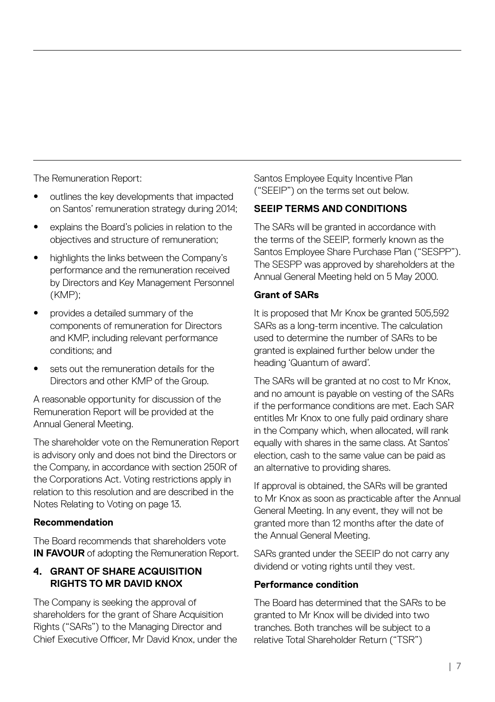The Remuneration Report:

- outlines the key developments that impacted on Santos' remuneration strategy during 2014;
- explains the Board's policies in relation to the objectives and structure of remuneration;
- highlights the links between the Company's performance and the remuneration received by Directors and Key Management Personnel (KMP);
- provides a detailed summary of the components of remuneration for Directors and KMP, including relevant performance conditions; and
- sets out the remuneration details for the Directors and other KMP of the Group.

A reasonable opportunity for discussion of the Remuneration Report will be provided at the Annual General Meeting.

The shareholder vote on the Remuneration Report is advisory only and does not bind the Directors or the Company, in accordance with section 250R of the Corporations Act. Voting restrictions apply in relation to this resolution and are described in the Notes Relating to Voting on page 13.

#### **Recommendation**

The Board recommends that shareholders vote **IN FAVOUR** of adopting the Remuneration Report.

#### **4. GRANT OF SHARE ACQUISITION RIGHTS TO MR DAVID KNOX**

The Company is seeking the approval of shareholders for the grant of Share Acquisition Rights ("SARs") to the Managing Director and Chief Executive Officer, Mr David Knox, under the Santos Employee Equity Incentive Plan ("SEEIP") on the terms set out below.

#### **SEEIP TERMS AND CONDITIONS**

The SARs will be granted in accordance with the terms of the SEEIP, formerly known as the Santos Employee Share Purchase Plan ("SESPP"). The SESPP was approved by shareholders at the Annual General Meeting held on 5 May 2000.

#### **Grant of SARs**

It is proposed that Mr Knox be granted 505,592 SARs as a long-term incentive. The calculation used to determine the number of SARs to be granted is explained further below under the heading 'Quantum of award'.

The SARs will be granted at no cost to Mr Knox, and no amount is payable on vesting of the SARs if the performance conditions are met. Each SAR entitles Mr Knox to one fully paid ordinary share in the Company which, when allocated, will rank equally with shares in the same class. At Santos' election, cash to the same value can be paid as an alternative to providing shares.

If approval is obtained, the SARs will be granted to Mr Knox as soon as practicable after the Annual General Meeting. In any event, they will not be granted more than 12 months after the date of the Annual General Meeting.

SARs granted under the SEEIP do not carry any dividend or voting rights until they vest.

#### **Performance condition**

The Board has determined that the SARs to be granted to Mr Knox will be divided into two tranches. Both tranches will be subject to a relative Total Shareholder Return ("TSR")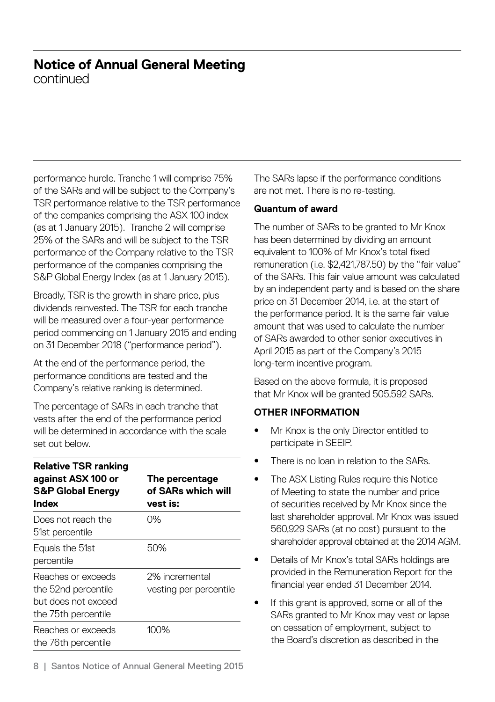continued

performance hurdle. Tranche 1 will comprise 75% of the SARs and will be subject to the Company's TSR performance relative to the TSR performance of the companies comprising the ASX 100 index (as at 1 January 2015). Tranche 2 will comprise 25% of the SARs and will be subject to the TSR performance of the Company relative to the TSR performance of the companies comprising the S&P Global Energy Index (as at 1 January 2015).

Broadly, TSR is the growth in share price, plus dividends reinvested. The TSR for each tranche will be measured over a four-year performance period commencing on 1 January 2015 and ending on 31 December 2018 ("performance period").

At the end of the performance period, the performance conditions are tested and the Company's relative ranking is determined.

The percentage of SARs in each tranche that vests after the end of the performance period will be determined in accordance with the scale set out below.

| <b>Relative TSR ranking</b><br>against ASX 100 or<br><b>S&amp;P Global Energy</b><br>Index | The percentage<br>of SARs which will<br>vest is: |
|--------------------------------------------------------------------------------------------|--------------------------------------------------|
| Does not reach the<br>51st percentile                                                      | 0%                                               |
| Equals the 51st<br>percentile                                                              | 50%                                              |
| Reaches or exceeds<br>the 52nd percentile<br>but does not exceed<br>the 75th percentile    | 2% incremental<br>vesting per percentile         |
| Reaches or exceeds<br>the 76th percentile                                                  | 100%                                             |

The SARs lapse if the performance conditions are not met. There is no re-testing.

#### **Quantum of award**

The number of SARs to be granted to Mr Knox has been determined by dividing an amount equivalent to 100% of Mr Knox's total fixed remuneration (i.e. \$2,421,787.50) by the "fair value" of the SARs. This fair value amount was calculated by an independent party and is based on the share price on 31 December 2014, i.e. at the start of the performance period. It is the same fair value amount that was used to calculate the number of SARs awarded to other senior executives in April 2015 as part of the Company's 2015 long-term incentive program.

Based on the above formula, it is proposed that Mr Knox will be granted 505,592 SARs.

#### **OTHER INFORMATION**

- Mr Knox is the only Director entitled to participate in SEEIP.
- There is no loan in relation to the SARs.
- The ASX Listing Rules require this Notice of Meeting to state the number and price of securities received by Mr Knox since the last shareholder approval. Mr Knox was issued 560,929 SARs (at no cost) pursuant to the shareholder approval obtained at the 2014 AGM.
- Details of Mr Knox's total SARs holdings are provided in the Remuneration Report for the financial year ended 31 December 2014.
- If this grant is approved, some or all of the SARs granted to Mr Knox may vest or lapse on cessation of employment, subject to the Board's discretion as described in the

8 | Santos Notice of Annual General Meeting 2015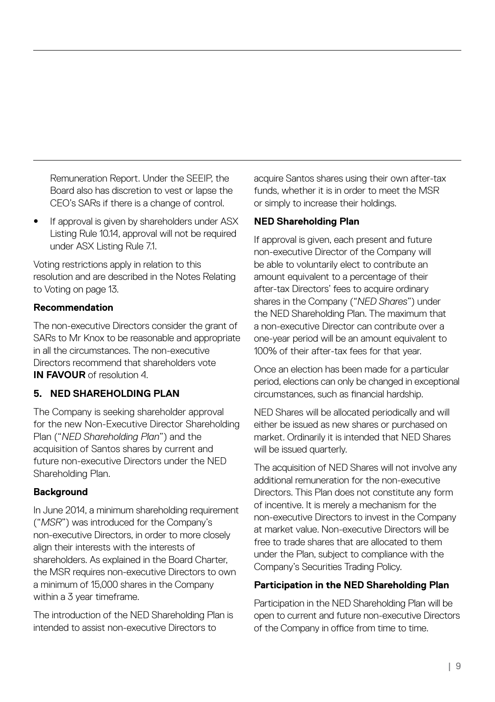Remuneration Report. Under the SEEIP, the Board also has discretion to vest or lapse the CEO's SARs if there is a change of control.

If approval is given by shareholders under ASX Listing Rule 10.14, approval will not be required under ASX Listing Rule 7.1.

Voting restrictions apply in relation to this resolution and are described in the Notes Relating to Voting on page 13.

#### **Recommendation**

The non-executive Directors consider the grant of SARs to Mr Knox to be reasonable and appropriate in all the circumstances. The non-executive Directors recommend that shareholders vote **IN FAVOUR** of resolution 4

#### **5. NED SHAREHOLDING PLAN**

The Company is seeking shareholder approval for the new Non-Executive Director Shareholding Plan ("*NED Shareholding Plan*") and the acquisition of Santos shares by current and future non-executive Directors under the NED Shareholding Plan.

#### **Background**

In June 2014, a minimum shareholding requirement ("*MSR*") was introduced for the Company's non-executive Directors, in order to more closely align their interests with the interests of shareholders. As explained in the Board Charter, the MSR requires non-executive Directors to own a minimum of 15,000 shares in the Company within a 3 year timeframe.

The introduction of the NED Shareholding Plan is intended to assist non-executive Directors to

acquire Santos shares using their own after-tax funds, whether it is in order to meet the MSR or simply to increase their holdings.

#### **NED Shareholding Plan**

If approval is given, each present and future non-executive Director of the Company will be able to voluntarily elect to contribute an amount equivalent to a percentage of their after-tax Directors' fees to acquire ordinary shares in the Company ("*NED Shares*") under the NED Shareholding Plan. The maximum that a non-executive Director can contribute over a one-year period will be an amount equivalent to 100% of their after-tax fees for that year.

Once an election has been made for a particular period, elections can only be changed in exceptional circumstances, such as financial hardship.

NED Shares will be allocated periodically and will either be issued as new shares or purchased on market. Ordinarily it is intended that NED Shares will be issued quarterly.

The acquisition of NED Shares will not involve any additional remuneration for the non-executive Directors. This Plan does not constitute any form of incentive. It is merely a mechanism for the non-executive Directors to invest in the Company at market value. Non-executive Directors will be free to trade shares that are allocated to them under the Plan, subject to compliance with the Company's Securities Trading Policy.

#### **Participation in the NED Shareholding Plan**

Participation in the NED Shareholding Plan will be open to current and future non-executive Directors of the Company in office from time to time.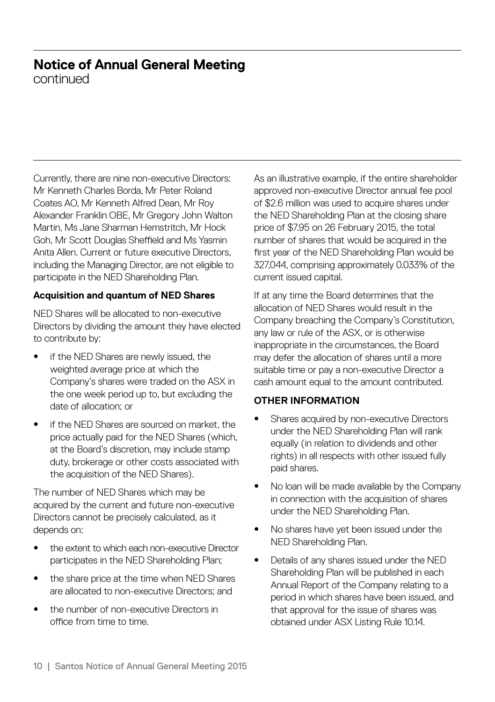continued

Currently, there are nine non-executive Directors: Mr Kenneth Charles Borda, Mr Peter Roland Coates AO, Mr Kenneth Alfred Dean, Mr Roy Alexander Franklin OBE, Mr Gregory John Walton Martin, Ms Jane Sharman Hemstritch, Mr Hock Goh, Mr Scott Douglas Sheffield and Ms Yasmin Anita Allen. Current or future executive Directors, including the Managing Director, are not eligible to participate in the NED Shareholding Plan.

#### **Acquisition and quantum of NED Shares**

NED Shares will be allocated to non-executive Directors by dividing the amount they have elected to contribute by:

- if the NED Shares are newly issued, the weighted average price at which the Company's shares were traded on the ASX in the one week period up to, but excluding the date of allocation; or
- if the NED Shares are sourced on market, the price actually paid for the NED Shares (which, at the Board's discretion, may include stamp duty, brokerage or other costs associated with the acquisition of the NED Shares).

The number of NED Shares which may be acquired by the current and future non-executive Directors cannot be precisely calculated, as it depends on:

- the extent to which each non-executive Director participates in the NED Shareholding Plan;
- the share price at the time when NED Shares are allocated to non-executive Directors; and
- the number of non-executive Directors in office from time to time.

As an illustrative example, if the entire shareholder approved non-executive Director annual fee pool of \$2.6 million was used to acquire shares under the NED Shareholding Plan at the closing share price of \$7.95 on 26 February 2015, the total number of shares that would be acquired in the first year of the NED Shareholding Plan would be 327,044, comprising approximately 0.033% of the current issued capital.

If at any time the Board determines that the allocation of NED Shares would result in the Company breaching the Company's Constitution, any law or rule of the ASX, or is otherwise inappropriate in the circumstances, the Board may defer the allocation of shares until a more suitable time or pay a non-executive Director a cash amount equal to the amount contributed.

#### **OTHER INFORMATION**

- Shares acquired by non-executive Directors under the NED Shareholding Plan will rank equally (in relation to dividends and other rights) in all respects with other issued fully paid shares.
- No loan will be made available by the Company in connection with the acquisition of shares under the NED Shareholding Plan.
- No shares have yet been issued under the NED Shareholding Plan.
- Details of any shares issued under the NED Shareholding Plan will be published in each Annual Report of the Company relating to a period in which shares have been issued, and that approval for the issue of shares was obtained under ASX Listing Rule 10.14.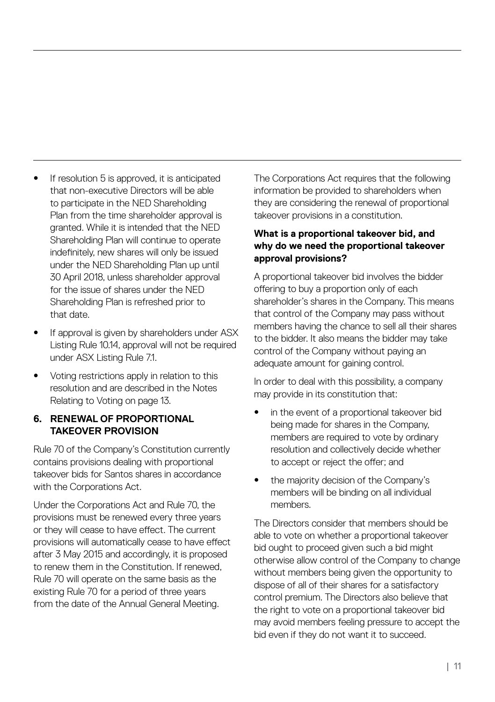- If resolution 5 is approved, it is anticipated that non-executive Directors will be able to participate in the NED Shareholding Plan from the time shareholder approval is granted. While it is intended that the NED Shareholding Plan will continue to operate indefinitely, new shares will only be issued under the NED Shareholding Plan up until 30 April 2018, unless shareholder approval for the issue of shares under the NED Shareholding Plan is refreshed prior to that date.
- If approval is given by shareholders under ASX Listing Rule 10.14, approval will not be required under ASX Listing Rule 7.1.
- Voting restrictions apply in relation to this resolution and are described in the Notes Relating to Voting on page 13.

#### **6. RENEWAL OF PROPORTIONAL TAKEOVER PROVISION**

Rule 70 of the Company's Constitution currently contains provisions dealing with proportional takeover bids for Santos shares in accordance with the Corporations Act.

Under the Corporations Act and Rule 70, the provisions must be renewed every three years or they will cease to have effect. The current provisions will automatically cease to have effect after 3 May 2015 and accordingly, it is proposed to renew them in the Constitution. If renewed, Rule 70 will operate on the same basis as the existing Rule 70 for a period of three years from the date of the Annual General Meeting.

The Corporations Act requires that the following information be provided to shareholders when they are considering the renewal of proportional takeover provisions in a constitution.

#### **What is a proportional takeover bid, and why do we need the proportional takeover approval provisions?**

A proportional takeover bid involves the bidder offering to buy a proportion only of each shareholder's shares in the Company. This means that control of the Company may pass without members having the chance to sell all their shares to the bidder. It also means the bidder may take control of the Company without paying an adequate amount for gaining control.

In order to deal with this possibility, a company may provide in its constitution that:

- in the event of a proportional takeover bid being made for shares in the Company, members are required to vote by ordinary resolution and collectively decide whether to accept or reject the offer; and
- the majority decision of the Company's members will be binding on all individual members.

The Directors consider that members should be able to vote on whether a proportional takeover bid ought to proceed given such a bid might otherwise allow control of the Company to change without members being given the opportunity to dispose of all of their shares for a satisfactory control premium. The Directors also believe that the right to vote on a proportional takeover bid may avoid members feeling pressure to accept the bid even if they do not want it to succeed.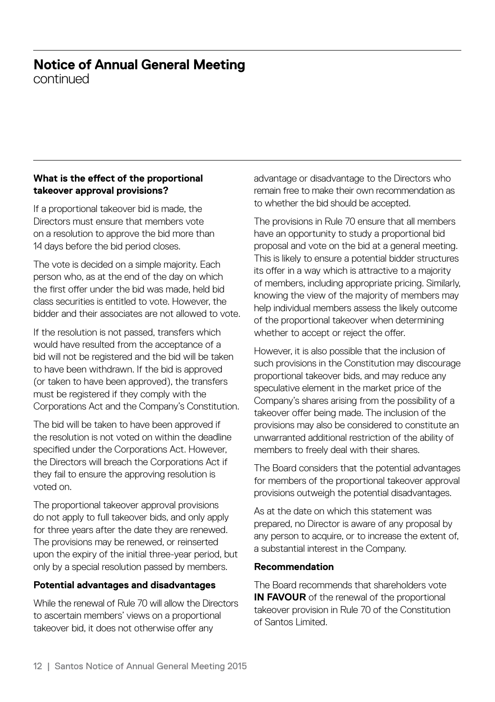continued

#### **What is the effect of the proportional takeover approval provisions?**

If a proportional takeover bid is made, the Directors must ensure that members vote on a resolution to approve the bid more than 14 days before the bid period closes.

The vote is decided on a simple majority. Each person who, as at the end of the day on which the first offer under the bid was made, held bid class securities is entitled to vote. However, the bidder and their associates are not allowed to vote.

If the resolution is not passed, transfers which would have resulted from the acceptance of a bid will not be registered and the bid will be taken to have been withdrawn. If the bid is approved (or taken to have been approved), the transfers must be registered if they comply with the Corporations Act and the Company's Constitution.

The bid will be taken to have been approved if the resolution is not voted on within the deadline specified under the Corporations Act. However, the Directors will breach the Corporations Act if they fail to ensure the approving resolution is voted on.

The proportional takeover approval provisions do not apply to full takeover bids, and only apply for three years after the date they are renewed. The provisions may be renewed, or reinserted upon the expiry of the initial three-year period, but only by a special resolution passed by members.

#### **Potential advantages and disadvantages**

While the renewal of Rule 70 will allow the Directors to ascertain members' views on a proportional takeover bid, it does not otherwise offer any

advantage or disadvantage to the Directors who remain free to make their own recommendation as to whether the bid should be accepted.

The provisions in Rule 70 ensure that all members have an opportunity to study a proportional bid proposal and vote on the bid at a general meeting. This is likely to ensure a potential bidder structures its offer in a way which is attractive to a majority of members, including appropriate pricing. Similarly, knowing the view of the majority of members may help individual members assess the likely outcome of the proportional takeover when determining whether to accept or reject the offer.

However, it is also possible that the inclusion of such provisions in the Constitution may discourage proportional takeover bids, and may reduce any speculative element in the market price of the Company's shares arising from the possibility of a takeover offer being made. The inclusion of the provisions may also be considered to constitute an unwarranted additional restriction of the ability of members to freely deal with their shares.

The Board considers that the potential advantages for members of the proportional takeover approval provisions outweigh the potential disadvantages.

As at the date on which this statement was prepared, no Director is aware of any proposal by any person to acquire, or to increase the extent of, a substantial interest in the Company.

#### **Recommendation**

The Board recommends that shareholders vote **IN FAVOUR** of the renewal of the proportional takeover provision in Rule 70 of the Constitution of Santos Limited.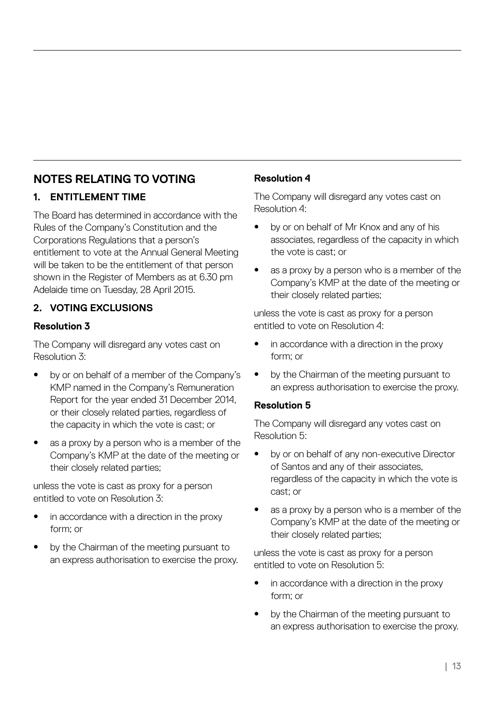### **NOTES RELATING TO VOTING**

#### **1. ENTITLEMENT TIME**

The Board has determined in accordance with the Rules of the Company's Constitution and the Corporations Regulations that a person's entitlement to vote at the Annual General Meeting will be taken to be the entitlement of that person shown in the Register of Members as at 6.30 pm Adelaide time on Tuesday, 28 April 2015.

#### **2. VOTING EXCLUSIONS**

#### **Resolution 3**

The Company will disregard any votes cast on Resolution 3:

- by or on behalf of a member of the Company's KMP named in the Company's Remuneration Report for the year ended 31 December 2014, or their closely related parties, regardless of the capacity in which the vote is cast; or
- as a proxy by a person who is a member of the Company's KMP at the date of the meeting or their closely related parties;

unless the vote is cast as proxy for a person entitled to vote on Resolution 3:

- in accordance with a direction in the proxy form; or
- by the Chairman of the meeting pursuant to an express authorisation to exercise the proxy.

#### **Resolution 4**

The Company will disregard any votes cast on Resolution 4:

- by or on behalf of Mr Knox and any of his associates, regardless of the capacity in which the vote is cast; or
- as a proxy by a person who is a member of the Company's KMP at the date of the meeting or their closely related parties;

unless the vote is cast as proxy for a person entitled to vote on Resolution 4:

- in accordance with a direction in the proxy form; or
- by the Chairman of the meeting pursuant to an express authorisation to exercise the proxy.

#### **Resolution 5**

The Company will disregard any votes cast on Resolution 5:

- by or on behalf of any non-executive Director of Santos and any of their associates, regardless of the capacity in which the vote is cast; or
- as a proxy by a person who is a member of the Company's KMP at the date of the meeting or their closely related parties;

unless the vote is cast as proxy for a person entitled to vote on Resolution 5:

- in accordance with a direction in the proxy form; or
- by the Chairman of the meeting pursuant to an express authorisation to exercise the proxy.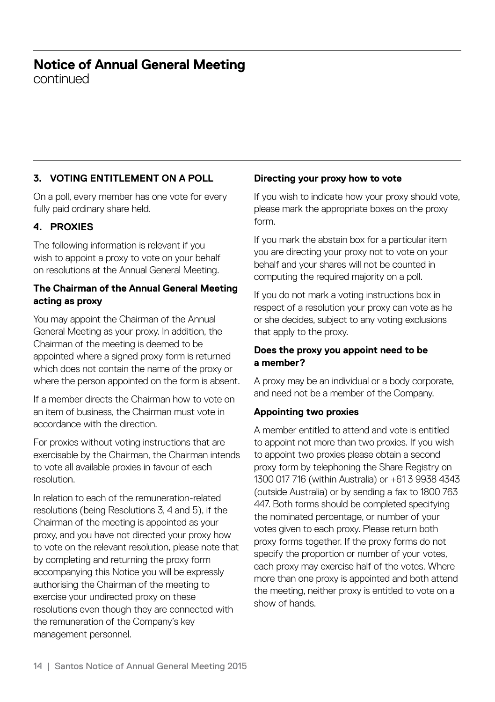continued

#### **3. VOTING ENTITLEMENT ON A POLL**

On a poll, every member has one vote for every fully paid ordinary share held.

#### **4. PROXIES**

The following information is relevant if you wish to appoint a proxy to vote on your behalf on resolutions at the Annual General Meeting.

#### **The Chairman of the Annual General Meeting acting as proxy**

You may appoint the Chairman of the Annual General Meeting as your proxy. In addition, the Chairman of the meeting is deemed to be appointed where a signed proxy form is returned which does not contain the name of the proxy or where the person appointed on the form is absent.

If a member directs the Chairman how to vote on an item of business, the Chairman must vote in accordance with the direction.

For proxies without voting instructions that are exercisable by the Chairman, the Chairman intends to vote all available proxies in favour of each resolution.

In relation to each of the remuneration-related resolutions (being Resolutions 3, 4 and 5), if the Chairman of the meeting is appointed as your proxy, and you have not directed your proxy how to vote on the relevant resolution, please note that by completing and returning the proxy form accompanying this Notice you will be expressly authorising the Chairman of the meeting to exercise your undirected proxy on these resolutions even though they are connected with the remuneration of the Company's key management personnel.

#### **Directing your proxy how to vote**

If you wish to indicate how your proxy should vote, please mark the appropriate boxes on the proxy form.

If you mark the abstain box for a particular item you are directing your proxy not to vote on your behalf and your shares will not be counted in computing the required majority on a poll.

If you do not mark a voting instructions box in respect of a resolution your proxy can vote as he or she decides, subject to any voting exclusions that apply to the proxy.

#### **Does the proxy you appoint need to be a member?**

A proxy may be an individual or a body corporate, and need not be a member of the Company.

#### **Appointing two proxies**

A member entitled to attend and vote is entitled to appoint not more than two proxies. If you wish to appoint two proxies please obtain a second proxy form by telephoning the Share Registry on 1300 017 716 (within Australia) or +61 3 9938 4343 (outside Australia) or by sending a fax to 1800 763 447. Both forms should be completed specifying the nominated percentage, or number of your votes given to each proxy. Please return both proxy forms together. If the proxy forms do not specify the proportion or number of your votes, each proxy may exercise half of the votes. Where more than one proxy is appointed and both attend the meeting, neither proxy is entitled to vote on a show of hands.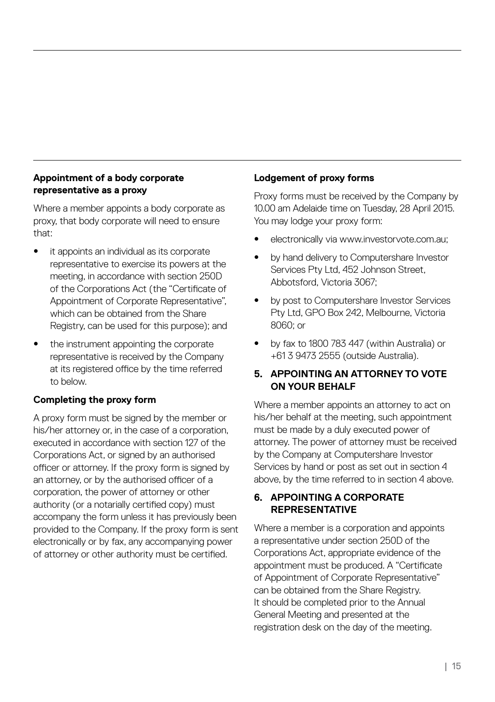#### **Appointment of a body corporate representative as a proxy**

Where a member appoints a body corporate as proxy, that body corporate will need to ensure that:

- it appoints an individual as its corporate representative to exercise its powers at the meeting, in accordance with section 250D of the Corporations Act (the "Certificate of Appointment of Corporate Representative", which can be obtained from the Share Registry, can be used for this purpose); and
- the instrument appointing the corporate representative is received by the Company at its registered office by the time referred to below.

#### **Completing the proxy form**

A proxy form must be signed by the member or his/her attorney or, in the case of a corporation, executed in accordance with section 127 of the Corporations Act, or signed by an authorised officer or attorney. If the proxy form is signed by an attorney, or by the authorised officer of a corporation, the power of attorney or other authority (or a notarially certified copy) must accompany the form unless it has previously been provided to the Company. If the proxy form is sent electronically or by fax, any accompanying power of attorney or other authority must be certified.

#### **Lodgement of proxy forms**

Proxy forms must be received by the Company by 10.00 am Adelaide time on Tuesday, 28 April 2015. You may lodge your proxy form:

- electronically via www.investorvote.com.au;
- by hand delivery to Computershare Investor Services Pty Ltd, 452 Johnson Street, Abbotsford, Victoria 3067;
- by post to Computershare Investor Services Pty Ltd, GPO Box 242, Melbourne, Victoria 8060; or
- by fax to 1800 783 447 (within Australia) or +61 3 9473 2555 (outside Australia).

#### **5. APPOINTING AN ATTORNEY TO VOTE ON YOUR BEHALF**

Where a member appoints an attorney to act on his/her behalf at the meeting, such appointment must be made by a duly executed power of attorney. The power of attorney must be received by the Company at Computershare Investor Services by hand or post as set out in section 4 above, by the time referred to in section 4 above.

#### **6. APPOINTING A CORPORATE REPRESENTATIVE**

Where a member is a corporation and appoints a representative under section 250D of the Corporations Act, appropriate evidence of the appointment must be produced. A "Certificate of Appointment of Corporate Representative" can be obtained from the Share Registry. It should be completed prior to the Annual General Meeting and presented at the registration desk on the day of the meeting.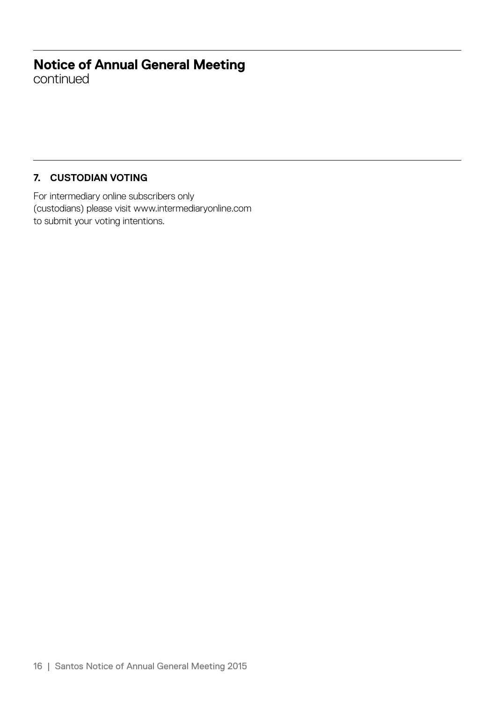continued

### **7. CUSTODIAN VOTING**

For intermediary online subscribers only (custodians) please visit www.intermediaryonline.com to submit your voting intentions.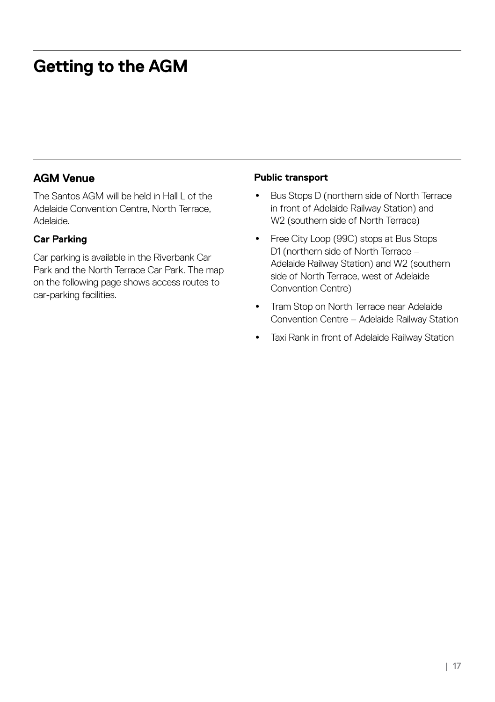# **Getting to the AGM**

### **AGM Venue**

The Santos AGM will be held in Hall L of the Adelaide Convention Centre, North Terrace, Adelaide.

#### **Car Parking**

Car parking is available in the Riverbank Car Park and the North Terrace Car Park. The map on the following page shows access routes to car-parking facilities.

#### **Public transport**

- Bus Stops D (northern side of North Terrace in front of Adelaide Railway Station) and W2 (southern side of North Terrace)
- Free City Loop (99C) stops at Bus Stops D1 (northern side of North Terrace – Adelaide Railway Station) and W2 (southern side of North Terrace, west of Adelaide Convention Centre)
- Tram Stop on North Terrace near Adelaide Convention Centre – Adelaide Railway Station
- Taxi Rank in front of Adelaide Railway Station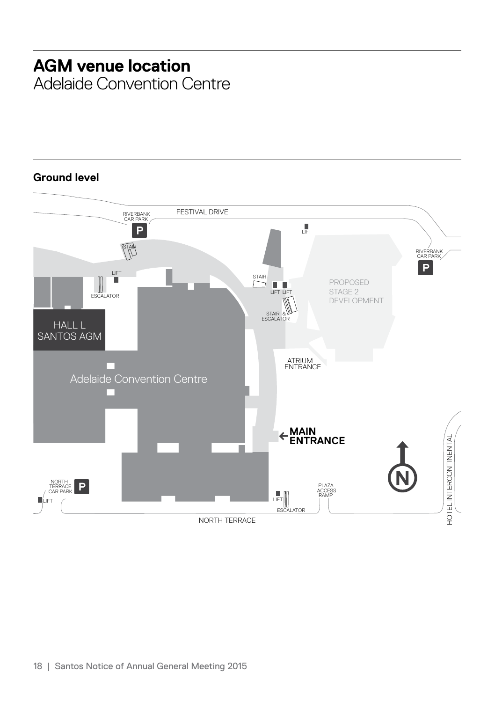# **AGM venue location**

Adelaide Convention Centre